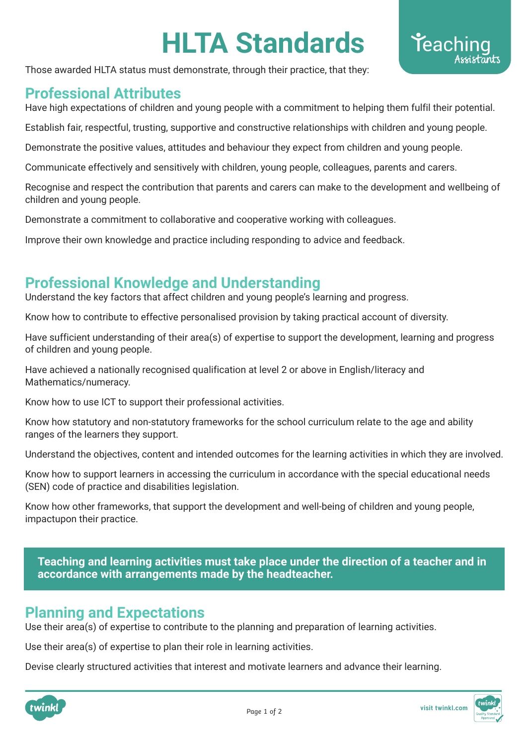# **HLTA Standards**

Those awarded HLTA status must demonstrate, through their practice, that they:

### **Professional Attributes**

Have high expectations of children and young people with a commitment to helping them fulfil their potential.

Establish fair, respectful, trusting, supportive and constructive relationships with children and young people.

Demonstrate the positive values, attitudes and behaviour they expect from children and young people.

Communicate effectively and sensitively with children, young people, colleagues, parents and carers.

Recognise and respect the contribution that parents and carers can make to the development and wellbeing of children and young people.

Demonstrate a commitment to collaborative and cooperative working with colleagues.

Improve their own knowledge and practice including responding to advice and feedback.

#### **Professional Knowledge and Understanding**

Understand the key factors that affect children and young people's learning and progress.

Know how to contribute to effective personalised provision by taking practical account of diversity.

Have sufficient understanding of their area(s) of expertise to support the development, learning and progress of children and young people.

Have achieved a nationally recognised qualification at level 2 or above in English/literacy and Mathematics/numeracy.

Know how to use ICT to support their professional activities.

Know how statutory and non-statutory frameworks for the school curriculum relate to the age and ability ranges of the learners they support.

Understand the objectives, content and intended outcomes for the learning activities in which they are involved.

Know how to support learners in accessing the curriculum in accordance with the special educational needs (SEN) code of practice and disabilities legislation.

Know how other frameworks, that support the development and well-being of children and young people, impactupon their practice.

**Teaching and learning activities must take place under the direction of a teacher and in accordance with arrangements made by the headteacher.**

## **Planning and Expectations**

Use their area(s) of expertise to contribute to the planning and preparation of learning activities.

Use their area(s) of expertise to plan their role in learning activities.

Devise clearly structured activities that interest and motivate learners and advance their learning.